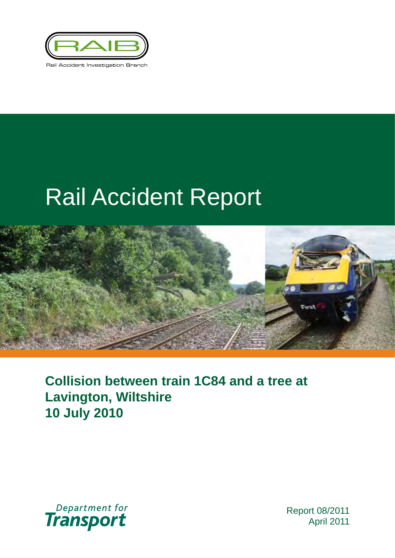

# Rail Accident Report



**Collision between train 1C84 and a tree at Lavington, Wiltshire 10 July 2010**



Report 08/2011 April 2011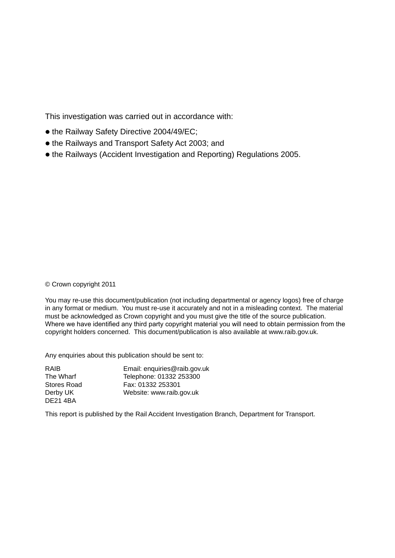This investigation was carried out in accordance with:

- the Railway Safety Directive 2004/49/EC;
- the Railways and Transport Safety Act 2003; and
- the Railways (Accident Investigation and Reporting) Regulations 2005.

#### © Crown copyright 2011

You may re-use this document/publication (not including departmental or agency logos) free of charge in any format or medium. You must re-use it accurately and not in a misleading context. The material must be acknowledged as Crown copyright and you must give the title of the source publication. Where we have identified any third party copyright material you will need to obtain permission from the copyright holders concerned. This document/publication is also available at www.raib.gov.uk.

Any enquiries about this publication should be sent to:

| RAIB            | Email: enquiries@raib.gov.uk |
|-----------------|------------------------------|
| The Wharf       | Telephone: 01332 253300      |
| Stores Road     | Fax: 01332 253301            |
| Derby UK        | Website: www.raib.gov.uk     |
| <b>DE21 4BA</b> |                              |

This report is published by the Rail Accident Investigation Branch, Department for Transport.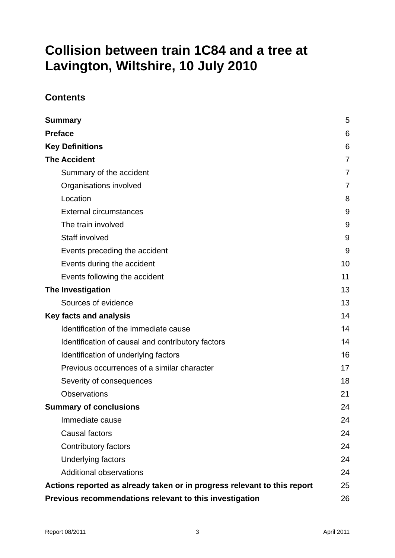# **Collision between train 1C84 and a tree at Lavington, Wiltshire, 10 July 2010**

### **Contents**

| <b>Summary</b>                                                           | 5  |
|--------------------------------------------------------------------------|----|
| <b>Preface</b>                                                           | 6  |
| <b>Key Definitions</b>                                                   | 6  |
| <b>The Accident</b>                                                      | 7  |
| Summary of the accident                                                  | 7  |
| Organisations involved                                                   | 7  |
| Location                                                                 | 8  |
| <b>External circumstances</b>                                            | 9  |
| The train involved                                                       | 9  |
| Staff involved                                                           | 9  |
| Events preceding the accident                                            | 9  |
| Events during the accident                                               | 10 |
| Events following the accident                                            | 11 |
| The Investigation                                                        | 13 |
| Sources of evidence                                                      | 13 |
| <b>Key facts and analysis</b>                                            | 14 |
| Identification of the immediate cause                                    | 14 |
| Identification of causal and contributory factors                        | 14 |
| Identification of underlying factors                                     | 16 |
| Previous occurrences of a similar character                              | 17 |
| Severity of consequences                                                 | 18 |
| <b>Observations</b>                                                      | 21 |
| <b>Summary of conclusions</b>                                            | 24 |
| Immediate cause                                                          | 24 |
| Causal factors                                                           | 24 |
| Contributory factors                                                     | 24 |
| <b>Underlying factors</b>                                                | 24 |
| Additional observations                                                  | 24 |
| Actions reported as already taken or in progress relevant to this report | 25 |
| Previous recommendations relevant to this investigation                  | 26 |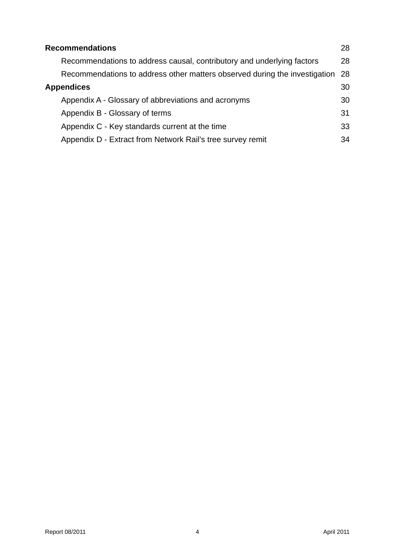| <b>Recommendations</b>                                                     | 28 |
|----------------------------------------------------------------------------|----|
| Recommendations to address causal, contributory and underlying factors     | 28 |
| Recommendations to address other matters observed during the investigation | 28 |
| <b>Appendices</b>                                                          | 30 |
| Appendix A - Glossary of abbreviations and acronyms                        | 30 |
| Appendix B - Glossary of terms                                             | 31 |
| Appendix C - Key standards current at the time                             | 33 |
| Appendix D - Extract from Network Rail's tree survey remit                 | 34 |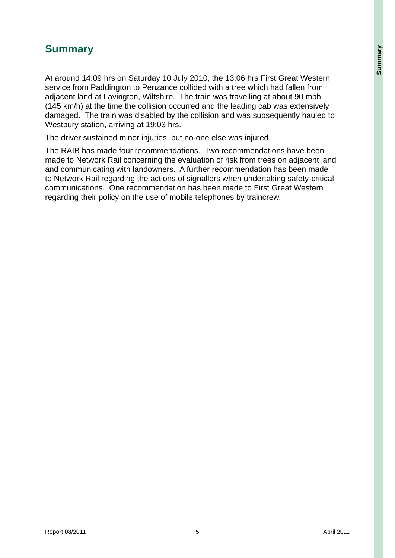# **Summary**

At around 14:09 hrs on Saturday 10 July 2010, the 13:06 hrs First Great Western service from Paddington to Penzance collided with a tree which had fallen from adjacent land at Lavington, Wiltshire. The train was travelling at about 90 mph (145 km/h) at the time the collision occurred and the leading cab was extensively damaged. The train was disabled by the collision and was subsequently hauled to Westbury station, arriving at 19:03 hrs.

The driver sustained minor injuries, but no-one else was injured.

The RAIB has made four recommendations. Two recommendations have been made to Network Rail concerning the evaluation of risk from trees on adjacent land and communicating with landowners. A further recommendation has been made to Network Rail regarding the actions of signallers when undertaking safety-critical communications. One recommendation has been made to First Great Western regarding their policy on the use of mobile telephones by traincrew.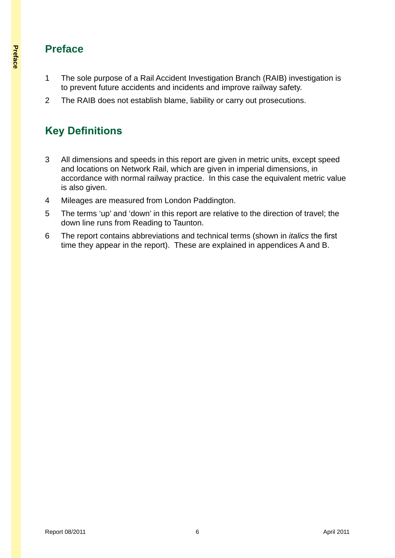# **Preface**

- 1 The sole purpose of a Rail Accident Investigation Branch (RAIB) investigation is to prevent future accidents and incidents and improve railway safety.
- 2 The RAIB does not establish blame, liability or carry out prosecutions.

# **Key Definitions**

- 3 All dimensions and speeds in this report are given in metric units, except speed and locations on Network Rail, which are given in imperial dimensions, in accordance with normal railway practice. In this case the equivalent metric value is also given.
- 4 Mileages are measured from London Paddington.
- 5 The terms 'up' and 'down' in this report are relative to the direction of travel; the down line runs from Reading to Taunton.
- 6 The report contains abbreviations and technical terms (shown in *italics* the first time they appear in the report). These are explained in appendices A and B.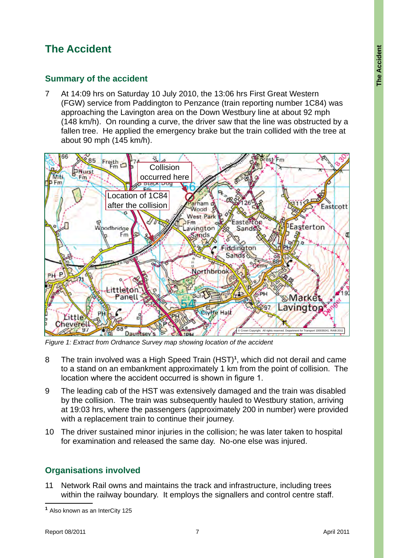# **The Accident**

### **Summary of the accident**

7 At 14:09 hrs on Saturday 10 July 2010, the 13:06 hrs First Great Western (FGW) service from Paddington to Penzance (train reporting number 1C84) was approaching the Lavington area on the Down Westbury line at about 92 mph (148 km/h). On rounding a curve, the driver saw that the line was obstructed by a fallen tree. He applied the emergency brake but the train collided with the tree at about 90 mph (145 km/h).



*Figure 1: Extract from Ordnance Survey map showing location of the accident*

- 8 The train involved was a High Speed Train (HST)**<sup>1</sup>** , which did not derail and came to a stand on an embankment approximately 1 km from the point of collision. The location where the accident occurred is shown in figure 1.
- 9 The leading cab of the HST was extensively damaged and the train was disabled by the collision. The train was subsequently hauled to Westbury station, arriving at 19:03 hrs, where the passengers (approximately 200 in number) were provided with a replacement train to continue their journey.
- 10 The driver sustained minor injuries in the collision; he was later taken to hospital for examination and released the same day. No-one else was injured.

# **Organisations involved**

11 Network Rail owns and maintains the track and infrastructure, including trees within the railway boundary. It employs the signallers and control centre staff.

**<sup>1</sup>** Also known as an InterCity 125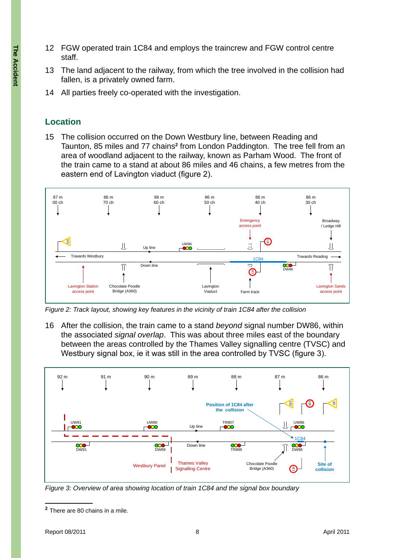- 12 FGW operated train 1C84 and employs the traincrew and FGW control centre staff.
- 13 The land adjacent to the railway, from which the tree involved in the collision had fallen, is a privately owned farm.
- 14 All parties freely co-operated with the investigation.

### **Location**

15 The collision occurred on the Down Westbury line, between Reading and Taunton, 85 miles and 77 chains<sup>2</sup> from London Paddington. The tree fell from an area of woodland adjacent to the railway, known as Parham Wood. The front of the train came to a stand at about 86 miles and 46 chains, a few metres from the eastern end of Lavington viaduct (figure 2).



16 After the collision, the train came to a stand *beyond* signal number DW86, within the associated *signal overlap*. This was about three miles east of the boundary between the areas controlled by the Thames Valley signalling centre (TVSC) and Westbury signal box, ie it was still in the area controlled by TVSC (figure 3).



*Figure 3: Overview of area showing location of train 1C84 and the signal box boundary*

**<sup>2</sup>** There are 80 chains in a mile.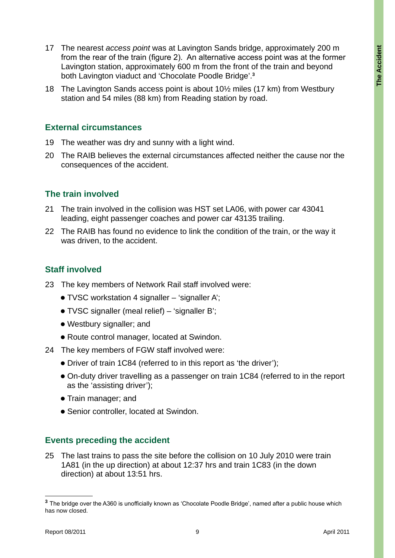- 17 The nearest *access point* was at Lavington Sands bridge, approximately 200 m from the rear of the train (figure 2). An alternative access point was at the former Lavington station, approximately 600 m from the front of the train and beyond both Lavington viaduct and 'Chocolate Poodle Bridge'.**<sup>3</sup>**
- 18 The Lavington Sands access point is about 10½ miles (17 km) from Westbury station and 54 miles (88 km) from Reading station by road.

#### **External circumstances**

- 19 The weather was dry and sunny with a light wind.
- 20 The RAIB believes the external circumstances affected neither the cause nor the consequences of the accident.

### **The train involved**

- 21 The train involved in the collision was HST set LA06, with power car 43041 leading, eight passenger coaches and power car 43135 trailing.
- 22 The RAIB has found no evidence to link the condition of the train, or the way it was driven, to the accident.

### **Staff involved**

- 23 The key members of Network Rail staff involved were:
	- $\bullet$  TVSC workstation 4 signaller 'signaller A';
	- TVSC signaller (meal relief) 'signaller B';
	- Westbury signaller; and
	- Route control manager, located at Swindon.
- 24 The key members of FGW staff involved were:
	- Driver of train 1C84 (referred to in this report as 'the driver');
	- l On-duty driver travelling as a passenger on train 1C84 (referred to in the report as the 'assisting driver');
	- **Train manager; and**
	- Senior controller, located at Swindon.

#### **Events preceding the accident**

25 The last trains to pass the site before the collision on 10 July 2010 were train 1A81 (in the up direction) at about 12:37 hrs and train 1C83 (in the down direction) at about 13:51 hrs.

**<sup>3</sup>** The bridge over the A360 is unofficially known as 'Chocolate Poodle Bridge', named after a public house which has now closed.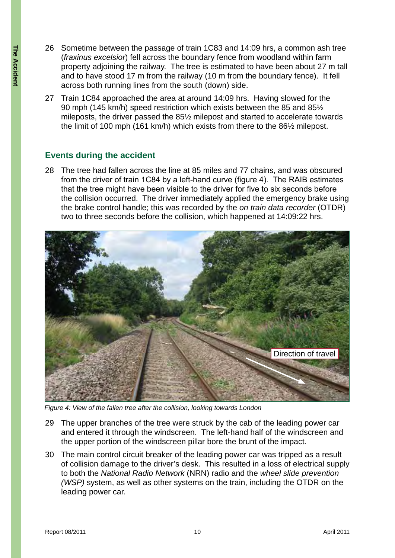- 26 Sometime between the passage of train 1C83 and 14:09 hrs, a common ash tree (*fraxinus excelsior*) fell across the boundary fence from woodland within farm property adjoining the railway. The tree is estimated to have been about 27 m tall and to have stood 17 m from the railway (10 m from the boundary fence). It fell across both running lines from the south (down) side.
- 27 Train 1C84 approached the area at around 14:09 hrs. Having slowed for the 90 mph (145 km/h) speed restriction which exists between the 85 and 85½ mileposts, the driver passed the 85½ milepost and started to accelerate towards the limit of 100 mph (161 km/h) which exists from there to the 86½ milepost.

#### **Events during the accident**

28 The tree had fallen across the line at 85 miles and 77 chains, and was obscured from the driver of train 1C84 by a left-hand curve (figure 4). The RAIB estimates that the tree might have been visible to the driver for five to six seconds before the collision occurred. The driver immediately applied the emergency brake using the brake control handle; this was recorded by the *on train data recorder* (OTDR) two to three seconds before the collision, which happened at 14:09:22 hrs.



*Figure 4: View of the fallen tree after the collision, looking towards London*

- 29 The upper branches of the tree were struck by the cab of the leading power car and entered it through the windscreen. The left-hand half of the windscreen and the upper portion of the windscreen pillar bore the brunt of the impact.
- 30 The main control circuit breaker of the leading power car was tripped as a result of collision damage to the driver's desk. This resulted in a loss of electrical supply to both the *National Radio Network* (NRN) radio and the *wheel slide prevention (WSP)* system, as well as other systems on the train, including the OTDR on the leading power car.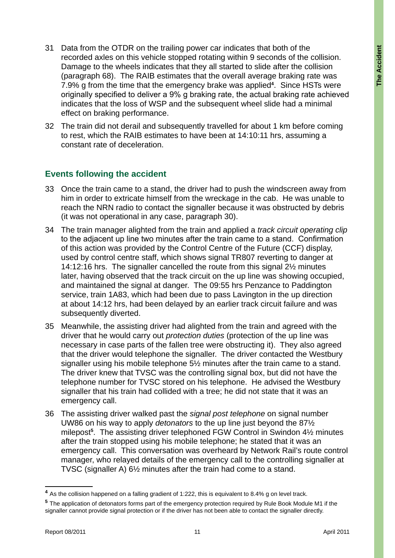- 31 Data from the OTDR on the trailing power car indicates that both of the recorded axles on this vehicle stopped rotating within 9 seconds of the collision. Damage to the wheels indicates that they all started to slide after the collision (paragraph 68). The RAIB estimates that the overall average braking rate was 7.9% g from the time that the emergency brake was applied**<sup>4</sup>** . Since HSTs were originally specified to deliver a 9% g braking rate, the actual braking rate achieved indicates that the loss of WSP and the subsequent wheel slide had a minimal effect on braking performance.
- 32 The train did not derail and subsequently travelled for about 1 km before coming to rest, which the RAIB estimates to have been at 14:10:11 hrs, assuming a constant rate of deceleration.

### **Events following the accident**

- 33 Once the train came to a stand, the driver had to push the windscreen away from him in order to extricate himself from the wreckage in the cab. He was unable to reach the NRN radio to contact the signaller because it was obstructed by debris (it was not operational in any case, paragraph 30).
- 34 The train manager alighted from the train and applied a *track circuit operating clip* to the adjacent up line two minutes after the train came to a stand. Confirmation of this action was provided by the Control Centre of the Future (CCF) display, used by control centre staff, which shows signal TR807 reverting to danger at 14:12:16 hrs. The signaller cancelled the route from this signal 2½ minutes later, having observed that the track circuit on the up line was showing occupied, and maintained the signal at danger. The 09:55 hrs Penzance to Paddington service, train 1A83, which had been due to pass Lavington in the up direction at about 14:12 hrs, had been delayed by an earlier track circuit failure and was subsequently diverted.
- 35 Meanwhile, the assisting driver had alighted from the train and agreed with the driver that he would carry out *protection duties* (protection of the up line was necessary in case parts of the fallen tree were obstructing it). They also agreed that the driver would telephone the signaller. The driver contacted the Westbury signaller using his mobile telephone 5½ minutes after the train came to a stand. The driver knew that TVSC was the controlling signal box, but did not have the telephone number for TVSC stored on his telephone. He advised the Westbury signaller that his train had collided with a tree; he did not state that it was an emergency call.
- 36 The assisting driver walked past the *signal post telephone* on signal number UW86 on his way to apply *detonators* to the up line just beyond the 87½ milepost**<sup>5</sup>** . The assisting driver telephoned FGW Control in Swindon 4½ minutes after the train stopped using his mobile telephone; he stated that it was an emergency call. This conversation was overheard by Network Rail's route control manager, who relayed details of the emergency call to the controlling signaller at TVSC (signaller A) 6½ minutes after the train had come to a stand.

**<sup>4</sup>** As the collision happened on a falling gradient of 1:222, this is equivalent to 8.4% g on level track.

**<sup>5</sup>** The application of detonators forms part of the emergency protection required by Rule Book Module M1 if the signaller cannot provide signal protection or if the driver has not been able to contact the signaller directly.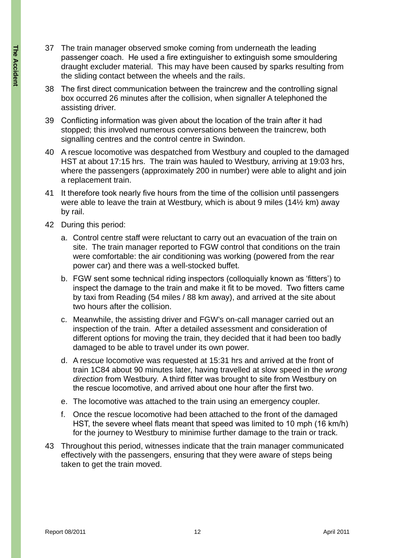- 37 The train manager observed smoke coming from underneath the leading passenger coach. He used a fire extinguisher to extinguish some smouldering draught excluder material. This may have been caused by sparks resulting from the sliding contact between the wheels and the rails.
- 38 The first direct communication between the traincrew and the controlling signal box occurred 26 minutes after the collision, when signaller A telephoned the assisting driver.
- 39 Conflicting information was given about the location of the train after it had stopped; this involved numerous conversations between the traincrew, both signalling centres and the control centre in Swindon.
- 40 A rescue locomotive was despatched from Westbury and coupled to the damaged HST at about 17:15 hrs. The train was hauled to Westbury, arriving at 19:03 hrs, where the passengers (approximately 200 in number) were able to alight and join a replacement train.
- 41 It therefore took nearly five hours from the time of the collision until passengers were able to leave the train at Westbury, which is about 9 miles (14½ km) away by rail.
- 42 During this period:
	- a. Control centre staff were reluctant to carry out an evacuation of the train on site. The train manager reported to FGW control that conditions on the train were comfortable: the air conditioning was working (powered from the rear power car) and there was a well-stocked buffet.
	- b. FGW sent some technical riding inspectors (colloquially known as 'fitters') to inspect the damage to the train and make it fit to be moved. Two fitters came by taxi from Reading (54 miles / 88 km away), and arrived at the site about two hours after the collision.
	- c. Meanwhile, the assisting driver and FGW's on-call manager carried out an inspection of the train. After a detailed assessment and consideration of different options for moving the train, they decided that it had been too badly damaged to be able to travel under its own power.
	- d. A rescue locomotive was requested at 15:31 hrs and arrived at the front of train 1C84 about 90 minutes later, having travelled at slow speed in the *wrong direction* from Westbury. A third fitter was brought to site from Westbury on the rescue locomotive, and arrived about one hour after the first two.
	- e. The locomotive was attached to the train using an emergency coupler.
	- f. Once the rescue locomotive had been attached to the front of the damaged HST, the severe wheel flats meant that speed was limited to 10 mph (16 km/h) for the journey to Westbury to minimise further damage to the train or track.
- 43 Throughout this period, witnesses indicate that the train manager communicated effectively with the passengers, ensuring that they were aware of steps being taken to get the train moved.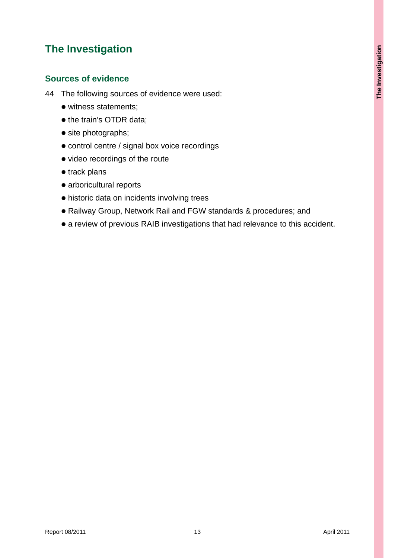# **The Investigation**

### **Sources of evidence**

- 44 The following sources of evidence were used:
	- witness statements;
	- the train's OTDR data;
	- site photographs;
	- control centre / signal box voice recordings
	- video recordings of the route
	- $\bullet$  track plans
	- $\bullet$  arboricultural reports
	- $\bullet$  historic data on incidents involving trees
	- Railway Group, Network Rail and FGW standards & procedures; and
	- a review of previous RAIB investigations that had relevance to this accident.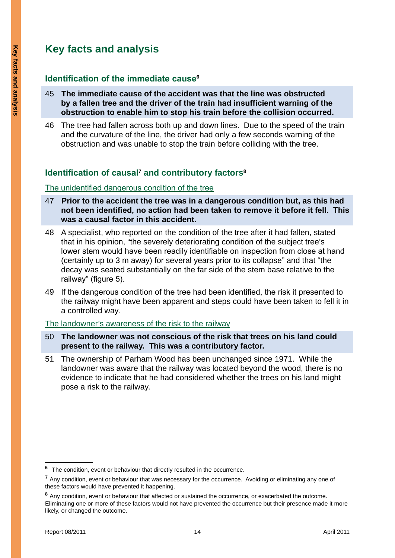# **Key facts and analysis**

### **Identification of the immediate cause<sup>6</sup>**

- 45 **The immediate cause of the accident was that the line was obstructed by a fallen tree and the driver of the train had insufficient warning of the obstruction to enable him to stop his train before the collision occurred.**
- 46 The tree had fallen across both up and down lines. Due to the speed of the train and the curvature of the line, the driver had only a few seconds warning of the obstruction and was unable to stop the train before colliding with the tree.

## **Identification of causal<sup>7</sup> and contributory factors8**

#### The unidentified dangerous condition of the tree

- 47 **Prior to the accident the tree was in a dangerous condition but, as this had not been identified, no action had been taken to remove it before it fell. This was a causal factor in this accident.**
- 48 A specialist, who reported on the condition of the tree after it had fallen, stated that in his opinion, "the severely deteriorating condition of the subject tree's lower stem would have been readily identifiable on inspection from close at hand (certainly up to 3 m away) for several years prior to its collapse" and that "the decay was seated substantially on the far side of the stem base relative to the railway" (figure 5).
- 49 If the dangerous condition of the tree had been identified, the risk it presented to the railway might have been apparent and steps could have been taken to fell it in a controlled way.

#### The landowner's awareness of the risk to the railway

- 50 **The landowner was not conscious of the risk that trees on his land could present to the railway. This was a contributory factor.**
- 51 The ownership of Parham Wood has been unchanged since 1971. While the landowner was aware that the railway was located beyond the wood, there is no evidence to indicate that he had considered whether the trees on his land might pose a risk to the railway.

**<sup>6</sup>** The condition, event or behaviour that directly resulted in the occurrence.

**<sup>7</sup>** Any condition, event or behaviour that was necessary for the occurrence. Avoiding or eliminating any one of these factors would have prevented it happening.

**<sup>8</sup>** Any condition, event or behaviour that affected or sustained the occurrence, or exacerbated the outcome. Eliminating one or more of these factors would not have prevented the occurrence but their presence made it more likely, or changed the outcome.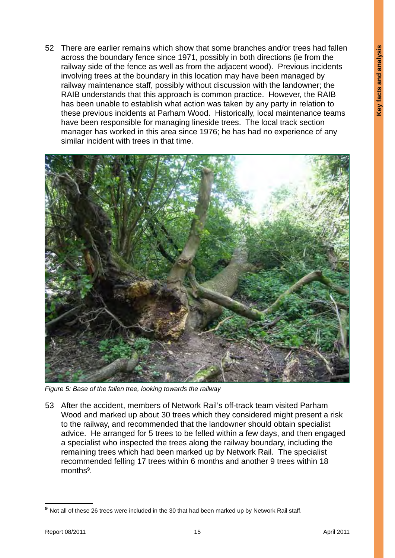52 There are earlier remains which show that some branches and/or trees had fallen across the boundary fence since 1971, possibly in both directions (ie from the railway side of the fence as well as from the adjacent wood). Previous incidents involving trees at the boundary in this location may have been managed by railway maintenance staff, possibly without discussion with the landowner; the RAIB understands that this approach is common practice. However, the RAIB has been unable to establish what action was taken by any party in relation to these previous incidents at Parham Wood. Historically, local maintenance teams have been responsible for managing lineside trees. The local track section manager has worked in this area since 1976; he has had no experience of any similar incident with trees in that time.



*Figure 5: Base of the fallen tree, looking towards the railway*

53 After the accident, members of Network Rail's off-track team visited Parham Wood and marked up about 30 trees which they considered might present a risk to the railway, and recommended that the landowner should obtain specialist advice. He arranged for 5 trees to be felled within a few days, and then engaged a specialist who inspected the trees along the railway boundary, including the remaining trees which had been marked up by Network Rail. The specialist recommended felling 17 trees within 6 months and another 9 trees within 18 months**<sup>9</sup>** .

**<sup>9</sup>** Not all of these 26 trees were included in the 30 that had been marked up by Network Rail staff.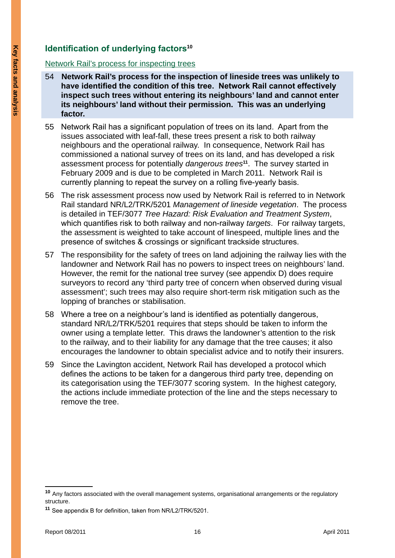### **Identification of underlying factors<sup>10</sup>**

#### Network Rail's process for inspecting trees

- 54 **Network Rail's process for the inspection of lineside trees was unlikely to have identified the condition of this tree. Network Rail cannot effectively inspect such trees without entering its neighbours' land and cannot enter its neighbours' land without their permission. This was an underlying factor.**
- 55 Network Rail has a significant population of trees on its land. Apart from the issues associated with leaf-fall, these trees present a risk to both railway neighbours and the operational railway. In consequence, Network Rail has commissioned a national survey of trees on its land, and has developed a risk assessment process for potentially *dangerous trees***<sup>11</sup>**. The survey started in February 2009 and is due to be completed in March 2011. Network Rail is currently planning to repeat the survey on a rolling five-yearly basis.
- 56 The risk assessment process now used by Network Rail is referred to in Network Rail standard NR/L2/TRK/5201 *Management of lineside vegetation*. The process is detailed in TEF/3077 *Tree Hazard: Risk Evaluation and Treatment System*, which quantifies risk to both railway and non-railway *targets*. For railway targets, the assessment is weighted to take account of linespeed, multiple lines and the presence of switches & crossings or significant trackside structures.
- 57 The responsibility for the safety of trees on land adjoining the railway lies with the landowner and Network Rail has no powers to inspect trees on neighbours' land. However, the remit for the national tree survey (see appendix D) does require surveyors to record any 'third party tree of concern when observed during visual assessment'; such trees may also require short-term risk mitigation such as the lopping of branches or stabilisation.
- 58 Where a tree on a neighbour's land is identified as potentially dangerous, standard NR/L2/TRK/5201 requires that steps should be taken to inform the owner using a template letter. This draws the landowner's attention to the risk to the railway, and to their liability for any damage that the tree causes; it also encourages the landowner to obtain specialist advice and to notify their insurers.
- 59 Since the Lavington accident, Network Rail has developed a protocol which defines the actions to be taken for a dangerous third party tree, depending on its categorisation using the TEF/3077 scoring system. In the highest category, the actions include immediate protection of the line and the steps necessary to remove the tree.

**<sup>10</sup>** Any factors associated with the overall management systems, organisational arrangements or the regulatory structure.

**<sup>11</sup>** See appendix B for definition, taken from NR/L2/TRK/5201.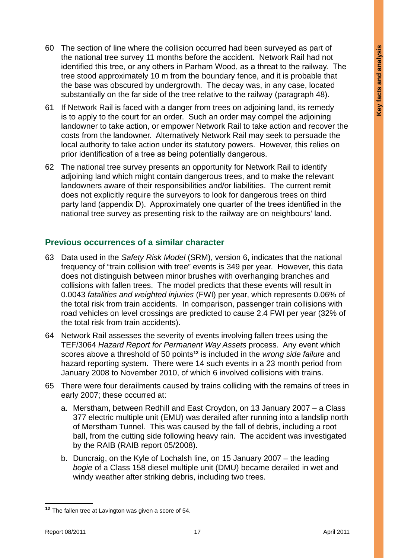- 60 The section of line where the collision occurred had been surveyed as part of the national tree survey 11 months before the accident. Network Rail had not identified this tree, or any others in Parham Wood, as a threat to the railway. The tree stood approximately 10 m from the boundary fence, and it is probable that the base was obscured by undergrowth. The decay was, in any case, located substantially on the far side of the tree relative to the railway (paragraph 48).
- 61 If Network Rail is faced with a danger from trees on adjoining land, its remedy is to apply to the court for an order. Such an order may compel the adjoining landowner to take action, or empower Network Rail to take action and recover the costs from the landowner. Alternatively Network Rail may seek to persuade the local authority to take action under its statutory powers. However, this relies on prior identification of a tree as being potentially dangerous.
- 62 The national tree survey presents an opportunity for Network Rail to identify adjoining land which might contain dangerous trees, and to make the relevant landowners aware of their responsibilities and/or liabilities. The current remit does not explicitly require the surveyors to look for dangerous trees on third party land (appendix D). Approximately one quarter of the trees identified in the national tree survey as presenting risk to the railway are on neighbours' land.

#### **Previous occurrences of a similar character**

- 63 Data used in the *Safety Risk Model* (SRM), version 6, indicates that the national frequency of "train collision with tree" events is 349 per year. However, this data does not distinguish between minor brushes with overhanging branches and collisions with fallen trees. The model predicts that these events will result in 0.0043 *fatalities and weighted injuries* (FWI) per year, which represents 0.06% of the total risk from train accidents. In comparison, passenger train collisions with road vehicles on level crossings are predicted to cause 2.4 FWI per year (32% of the total risk from train accidents).
- 64 Network Rail assesses the severity of events involving fallen trees using the TEF/3064 *Hazard Report for Permanent Way Assets* process. Any event which scores above a threshold of 50 points**<sup>12</sup>** is included in the *wrong side failure* and hazard reporting system. There were 14 such events in a 23 month period from January 2008 to November 2010, of which 6 involved collisions with trains.
- 65 There were four derailments caused by trains colliding with the remains of trees in early 2007; these occurred at:
	- a. Merstham, between Redhill and East Croydon, on 13 January 2007 a Class 377 electric multiple unit (EMU) was derailed after running into a landslip north of Merstham Tunnel. This was caused by the fall of debris, including a root ball, from the cutting side following heavy rain. The accident was investigated by the RAIB (RAIB report 05/2008).
	- b. Duncraig, on the Kyle of Lochalsh line, on 15 January 2007 the leading *bogie* of a Class 158 diesel multiple unit (DMU) became derailed in wet and windy weather after striking debris, including two trees.

**<sup>12</sup>** The fallen tree at Lavington was given a score of 54.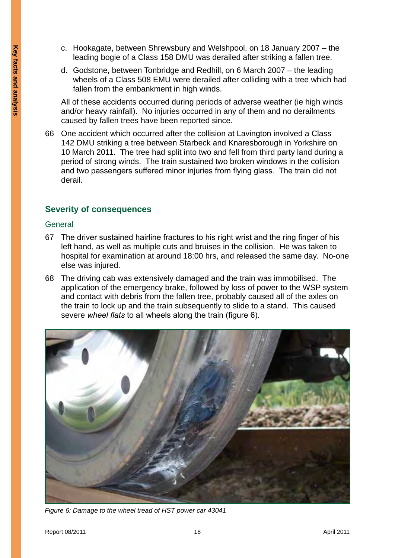- c. Hookagate, between Shrewsbury and Welshpool, on 18 January 2007 the leading bogie of a Class 158 DMU was derailed after striking a fallen tree.
- d. Godstone, between Tonbridge and Redhill, on 6 March 2007 the leading wheels of a Class 508 EMU were derailed after colliding with a tree which had fallen from the embankment in high winds.

All of these accidents occurred during periods of adverse weather (ie high winds and/or heavy rainfall). No injuries occurred in any of them and no derailments caused by fallen trees have been reported since.

66 One accident which occurred after the collision at Lavington involved a Class 142 DMU striking a tree between Starbeck and Knaresborough in Yorkshire on 10 March 2011. The tree had split into two and fell from third party land during a period of strong winds. The train sustained two broken windows in the collision and two passengers suffered minor injuries from flying glass. The train did not derail.

#### **Severity of consequences**

#### **General**

- 67 The driver sustained hairline fractures to his right wrist and the ring finger of his left hand, as well as multiple cuts and bruises in the collision. He was taken to hospital for examination at around 18:00 hrs, and released the same day. No-one else was injured.
- 68 The driving cab was extensively damaged and the train was immobilised. The application of the emergency brake, followed by loss of power to the WSP system and contact with debris from the fallen tree, probably caused all of the axles on the train to lock up and the train subsequently to slide to a stand. This caused severe *wheel flats* to all wheels along the train (figure 6).



*Figure 6: Damage to the wheel tread of HST power car 43041*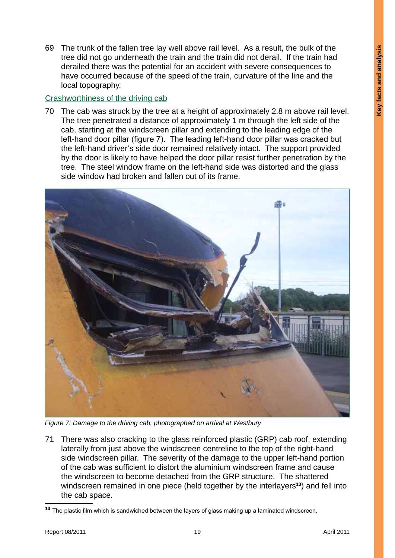69 The trunk of the fallen tree lay well above rail level. As a result, the bulk of the tree did not go underneath the train and the train did not derail. If the train had derailed there was the potential for an accident with severe consequences to have occurred because of the speed of the train, curvature of the line and the local topography.

#### Crashworthiness of the driving cab

70 The cab was struck by the tree at a height of approximately 2.8 m above rail level. The tree penetrated a distance of approximately 1 m through the left side of the cab, starting at the windscreen pillar and extending to the leading edge of the left-hand door pillar (figure 7). The leading left-hand door pillar was cracked but the left-hand driver's side door remained relatively intact. The support provided by the door is likely to have helped the door pillar resist further penetration by the tree. The steel window frame on the left-hand side was distorted and the glass side window had broken and fallen out of its frame.



*Figure 7: Damage to the driving cab, photographed on arrival at Westbury*

71 There was also cracking to the glass reinforced plastic (GRP) cab roof, extending laterally from just above the windscreen centreline to the top of the right-hand side windscreen pillar. The severity of the damage to the upper left-hand portion of the cab was sufficient to distort the aluminium windscreen frame and cause the windscreen to become detached from the GRP structure. The shattered windscreen remained in one piece (held together by the interlayers**<sup>13</sup>**) and fell into the cab space.

**<sup>13</sup>** The plastic film which is sandwiched between the layers of glass making up a laminated windscreen.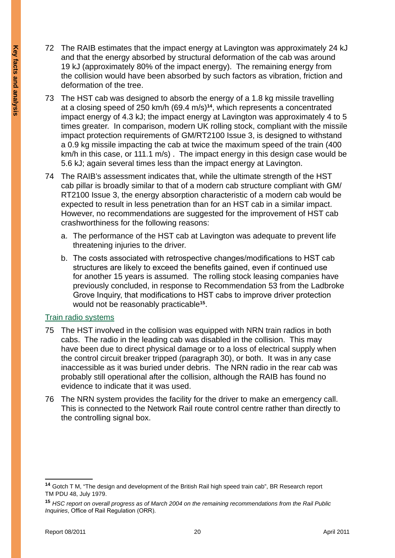- 72 The RAIB estimates that the impact energy at Lavington was approximately 24 kJ and that the energy absorbed by structural deformation of the cab was around 19 kJ (approximately 80% of the impact energy). The remaining energy from the collision would have been absorbed by such factors as vibration, friction and deformation of the tree.
- 73 The HST cab was designed to absorb the energy of a 1.8 kg missile travelling at a closing speed of 250 km/h (69.4 m/s)**<sup>14</sup>**, which represents a concentrated impact energy of 4.3 kJ; the impact energy at Lavington was approximately 4 to 5 times greater. In comparison, modern UK rolling stock, compliant with the missile impact protection requirements of GM/RT2100 Issue 3, is designed to withstand a 0.9 kg missile impacting the cab at twice the maximum speed of the train (400 km/h in this case, or 111.1 m/s) . The impact energy in this design case would be 5.6 kJ; again several times less than the impact energy at Lavington.
- 74 The RAIB's assessment indicates that, while the ultimate strength of the HST cab pillar is broadly similar to that of a modern cab structure compliant with GM/ RT2100 Issue 3, the energy absorption characteristic of a modern cab would be expected to result in less penetration than for an HST cab in a similar impact. However, no recommendations are suggested for the improvement of HST cab crashworthiness for the following reasons:
	- a. The performance of the HST cab at Lavington was adequate to prevent life threatening injuries to the driver.
	- b. The costs associated with retrospective changes/modifications to HST cab structures are likely to exceed the benefits gained, even if continued use for another 15 years is assumed. The rolling stock leasing companies have previously concluded, in response to Recommendation 53 from the Ladbroke Grove Inquiry, that modifications to HST cabs to improve driver protection would not be reasonably practicable**<sup>15</sup>**.

#### Train radio systems

- 75 The HST involved in the collision was equipped with NRN train radios in both cabs. The radio in the leading cab was disabled in the collision. This may have been due to direct physical damage or to a loss of electrical supply when the control circuit breaker tripped (paragraph 30), or both. It was in any case inaccessible as it was buried under debris. The NRN radio in the rear cab was probably still operational after the collision, although the RAIB has found no evidence to indicate that it was used.
- 76 The NRN system provides the facility for the driver to make an emergency call. This is connected to the Network Rail route control centre rather than directly to the controlling signal box.

**<sup>14</sup>** Gotch T M, "The design and development of the British Rail high speed train cab", BR Research report TM PDU 48, July 1979.

**<sup>15</sup>** *HSC report on overall progress as of March 2004 on the remaining recommendations from the Rail Public Inquiries*, Office of Rail Regulation (ORR).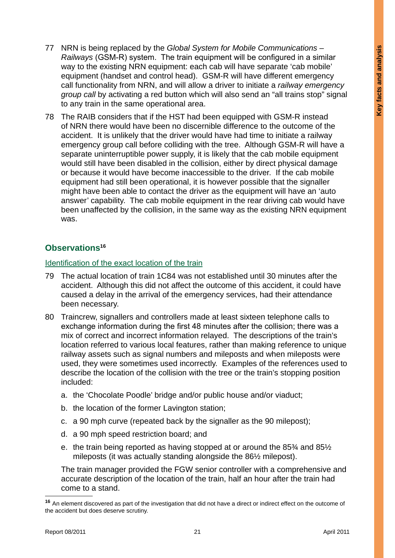- 77 NRN is being replaced by the *Global System for Mobile Communications Railways* (GSM-R) system. The train equipment will be configured in a similar way to the existing NRN equipment: each cab will have separate 'cab mobile' equipment (handset and control head). GSM-R will have different emergency call functionality from NRN, and will allow a driver to initiate a *railway emergency group call* by activating a red button which will also send an "all trains stop" signal to any train in the same operational area.
- 78 The RAIB considers that if the HST had been equipped with GSM-R instead of NRN there would have been no discernible difference to the outcome of the accident. It is unlikely that the driver would have had time to initiate a railway emergency group call before colliding with the tree. Although GSM-R will have a separate uninterruptible power supply, it is likely that the cab mobile equipment would still have been disabled in the collision, either by direct physical damage or because it would have become inaccessible to the driver. If the cab mobile equipment had still been operational, it is however possible that the signaller might have been able to contact the driver as the equipment will have an 'auto answer' capability. The cab mobile equipment in the rear driving cab would have been unaffected by the collision, in the same way as the existing NRN equipment was.

### **Observations16**

#### Identification of the exact location of the train

- 79 The actual location of train 1C84 was not established until 30 minutes after the accident. Although this did not affect the outcome of this accident, it could have caused a delay in the arrival of the emergency services, had their attendance been necessary.
- 80 Traincrew, signallers and controllers made at least sixteen telephone calls to exchange information during the first 48 minutes after the collision; there was a mix of correct and incorrect information relayed. The descriptions of the train's location referred to various local features, rather than making reference to unique railway assets such as signal numbers and mileposts and when mileposts were used, they were sometimes used incorrectly. Examples of the references used to describe the location of the collision with the tree or the train's stopping position included:
	- a. the 'Chocolate Poodle' bridge and/or public house and/or viaduct;
	- b. the location of the former Lavington station;
	- c. a 90 mph curve (repeated back by the signaller as the 90 milepost);
	- d. a 90 mph speed restriction board; and
	- e. the train being reported as having stopped at or around the 85¾ and 85½ mileposts (it was actually standing alongside the 86½ milepost).

The train manager provided the FGW senior controller with a comprehensive and accurate description of the location of the train, half an hour after the train had come to a stand.

**<sup>16</sup>** An element discovered as part of the investigation that did not have a direct or indirect effect on the outcome of the accident but does deserve scrutiny.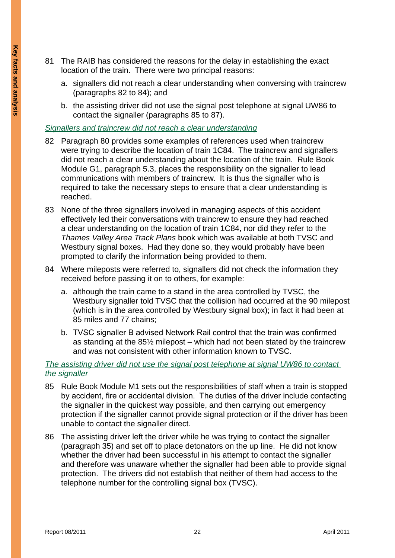- 81 The RAIB has considered the reasons for the delay in establishing the exact location of the train. There were two principal reasons:
	- a. signallers did not reach a clear understanding when conversing with traincrew (paragraphs 82 to 84); and
	- b. the assisting driver did not use the signal post telephone at signal UW86 to contact the signaller (paragraphs 85 to 87).

#### *Signallers and traincrew did not reach a clear understanding*

- 82 Paragraph 80 provides some examples of references used when traincrew were trying to describe the location of train 1C84. The traincrew and signallers did not reach a clear understanding about the location of the train. Rule Book Module G1, paragraph 5.3, places the responsibility on the signaller to lead communications with members of traincrew. It is thus the signaller who is required to take the necessary steps to ensure that a clear understanding is reached.
- 83 None of the three signallers involved in managing aspects of this accident effectively led their conversations with traincrew to ensure they had reached a clear understanding on the location of train 1C84, nor did they refer to the *Thames Valley Area Track Plans* book which was available at both TVSC and Westbury signal boxes. Had they done so, they would probably have been prompted to clarify the information being provided to them.
- 84 Where mileposts were referred to, signallers did not check the information they received before passing it on to others, for example:
	- a. although the train came to a stand in the area controlled by TVSC, the Westbury signaller told TVSC that the collision had occurred at the 90 milepost (which is in the area controlled by Westbury signal box); in fact it had been at 85 miles and 77 chains;
	- b. TVSC signaller B advised Network Rail control that the train was confirmed as standing at the 85½ milepost – which had not been stated by the traincrew and was not consistent with other information known to TVSC.

#### *The assisting driver did not use the signal post telephone at signal UW86 to contact the signaller*

- 85 Rule Book Module M1 sets out the responsibilities of staff when a train is stopped by accident, fire or accidental division. The duties of the driver include contacting the signaller in the quickest way possible, and then carrying out emergency protection if the signaller cannot provide signal protection or if the driver has been unable to contact the signaller direct.
- 86 The assisting driver left the driver while he was trying to contact the signaller (paragraph 35) and set off to place detonators on the up line. He did not know whether the driver had been successful in his attempt to contact the signaller and therefore was unaware whether the signaller had been able to provide signal protection. The drivers did not establish that neither of them had access to the telephone number for the controlling signal box (TVSC).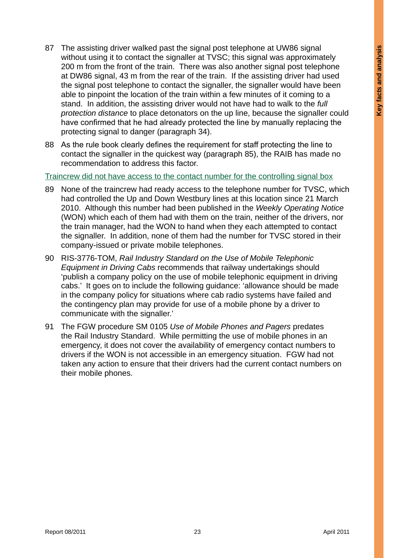- 87 The assisting driver walked past the signal post telephone at UW86 signal without using it to contact the signaller at TVSC; this signal was approximately 200 m from the front of the train. There was also another signal post telephone at DW86 signal, 43 m from the rear of the train. If the assisting driver had used the signal post telephone to contact the signaller, the signaller would have been able to pinpoint the location of the train within a few minutes of it coming to a stand. In addition, the assisting driver would not have had to walk to the *full protection distance* to place detonators on the up line, because the signaller could have confirmed that he had already protected the line by manually replacing the protecting signal to danger (paragraph 34).
- 88 As the rule book clearly defines the requirement for staff protecting the line to contact the signaller in the quickest way (paragraph 85), the RAIB has made no recommendation to address this factor.

Traincrew did not have access to the contact number for the controlling signal box

- 89 None of the traincrew had ready access to the telephone number for TVSC, which had controlled the Up and Down Westbury lines at this location since 21 March 2010. Although this number had been published in the *Weekly Operating Notice* (WON) which each of them had with them on the train, neither of the drivers, nor the train manager, had the WON to hand when they each attempted to contact the signaller. In addition, none of them had the number for TVSC stored in their company-issued or private mobile telephones.
- 90 RIS-3776-TOM, *Rail Industry Standard on the Use of Mobile Telephonic Equipment in Driving Cabs* recommends that railway undertakings should 'publish a company policy on the use of mobile telephonic equipment in driving cabs.' It goes on to include the following guidance: 'allowance should be made in the company policy for situations where cab radio systems have failed and the contingency plan may provide for use of a mobile phone by a driver to communicate with the signaller.'
- 91 The FGW procedure SM 0105 *Use of Mobile Phones and Pagers* predates the Rail Industry Standard. While permitting the use of mobile phones in an emergency, it does not cover the availability of emergency contact numbers to drivers if the WON is not accessible in an emergency situation. FGW had not taken any action to ensure that their drivers had the current contact numbers on their mobile phones.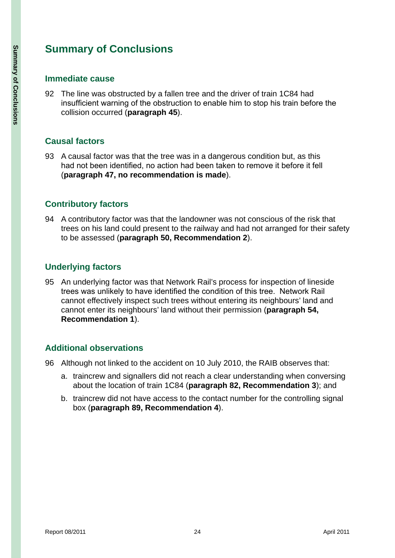# **Summary of Conclusions**

#### **Immediate cause**

92 The line was obstructed by a fallen tree and the driver of train 1C84 had insufficient warning of the obstruction to enable him to stop his train before the collision occurred (**paragraph 45**).

### **Causal factors**

93 A causal factor was that the tree was in a dangerous condition but, as this had not been identified, no action had been taken to remove it before it fell (**paragraph 47, no recommendation is made**).

### **Contributory factors**

94 A contributory factor was that the landowner was not conscious of the risk that trees on his land could present to the railway and had not arranged for their safety to be assessed (**paragraph 50, Recommendation 2**).

### **Underlying factors**

95 An underlying factor was that Network Rail's process for inspection of lineside trees was unlikely to have identified the condition of this tree. Network Rail cannot effectively inspect such trees without entering its neighbours' land and cannot enter its neighbours' land without their permission (**paragraph 54, Recommendation 1**).

### **Additional observations**

- 96 Although not linked to the accident on 10 July 2010, the RAIB observes that:
	- a. traincrew and signallers did not reach a clear understanding when conversing about the location of train 1C84 (**paragraph 82, Recommendation 3**); and
	- b. traincrew did not have access to the contact number for the controlling signal box (**paragraph 89, Recommendation 4**).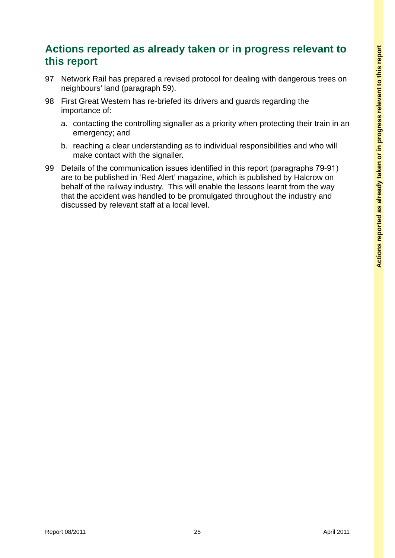# **Actions reported as already taken or in progress relevant to this report**

- 97 Network Rail has prepared a revised protocol for dealing with dangerous trees on neighbours' land (paragraph 59).
- 98 First Great Western has re-briefed its drivers and guards regarding the importance of:
	- a. contacting the controlling signaller as a priority when protecting their train in an emergency; and
	- b. reaching a clear understanding as to individual responsibilities and who will make contact with the signaller.
- 99 Details of the communication issues identified in this report (paragraphs 79-91) are to be published in 'Red Alert' magazine, which is published by Halcrow on behalf of the railway industry. This will enable the lessons learnt from the way that the accident was handled to be promulgated throughout the industry and discussed by relevant staff at a local level.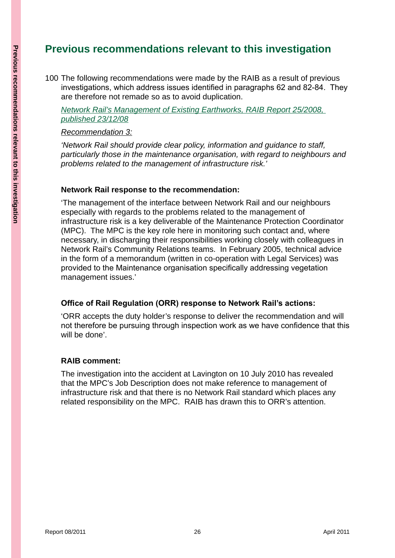# **Previous recommendations relevant to this investigation**

100 The following recommendations were made by the RAIB as a result of previous investigations, which address issues identified in paragraphs 62 and 82-84. They are therefore not remade so as to avoid duplication.

*Network Rail's Management of Existing Earthworks, RAIB Report 25/2008, published 23/12/08*

#### *Recommendation 3:*

*'Network Rail should provide clear policy, information and guidance to staff, particularly those in the maintenance organisation, with regard to neighbours and problems related to the management of infrastructure risk.'*

#### **Network Rail response to the recommendation:**

'The management of the interface between Network Rail and our neighbours especially with regards to the problems related to the management of infrastructure risk is a key deliverable of the Maintenance Protection Coordinator (MPC). The MPC is the key role here in monitoring such contact and, where necessary, in discharging their responsibilities working closely with colleagues in Network Rail's Community Relations teams. In February 2005, technical advice in the form of a memorandum (written in co-operation with Legal Services) was provided to the Maintenance organisation specifically addressing vegetation management issues.'

#### **Office of Rail Regulation (ORR) response to Network Rail's actions:**

'ORR accepts the duty holder's response to deliver the recommendation and will not therefore be pursuing through inspection work as we have confidence that this will be done'.

#### **RAIB comment:**

The investigation into the accident at Lavington on 10 July 2010 has revealed that the MPC's Job Description does not make reference to management of infrastructure risk and that there is no Network Rail standard which places any related responsibility on the MPC. RAIB has drawn this to ORR's attention.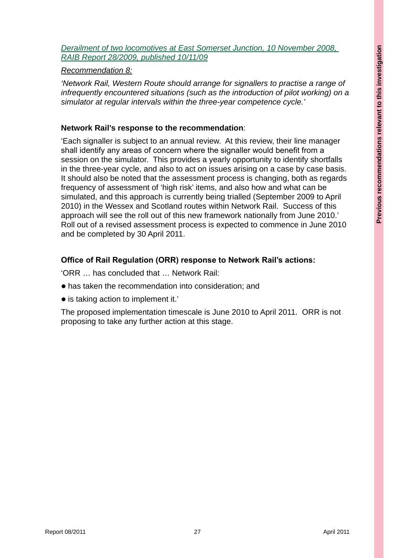*Derailment of two locomotives at East Somerset Junction, 10 November 2008, RAIB Report 28/2009, published 10/11/09*

#### *Recommendation 8:*

*'Network Rail, Western Route should arrange for signallers to practise a range of infrequently encountered situations (such as the introduction of pilot working) on a simulator at regular intervals within the three-year competence cycle.'*

#### **Network Rail's response to the recommendation**:

'Each signaller is subject to an annual review. At this review, their line manager shall identify any areas of concern where the signaller would benefit from a session on the simulator. This provides a yearly opportunity to identify shortfalls in the three-year cycle, and also to act on issues arising on a case by case basis. It should also be noted that the assessment process is changing, both as regards frequency of assessment of 'high risk' items, and also how and what can be simulated, and this approach is currently being trialled (September 2009 to April 2010) in the Wessex and Scotland routes within Network Rail. Success of this approach will see the roll out of this new framework nationally from June 2010.' Roll out of a revised assessment process is expected to commence in June 2010 and be completed by 30 April 2011.

#### **Office of Rail Regulation (ORR) response to Network Rail's actions:**

'ORR … has concluded that … Network Rail:

- $\bullet$  has taken the recommendation into consideration; and
- $\bullet$  is taking action to implement it.'

The proposed implementation timescale is June 2010 to April 2011. ORR is not proposing to take any further action at this stage.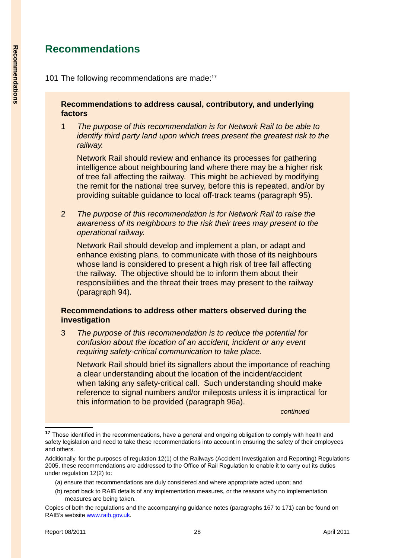# **Recommendations**

#### **Recommendations to address causal, contributory, and underlying factors**

1 *The purpose of this recommendation is for Network Rail to be able to identify third party land upon which trees present the greatest risk to the railway.*

Network Rail should review and enhance its processes for gathering intelligence about neighbouring land where there may be a higher risk of tree fall affecting the railway. This might be achieved by modifying the remit for the national tree survey, before this is repeated, and/or by providing suitable guidance to local off-track teams (paragraph 95).

2 *The purpose of this recommendation is for Network Rail to raise the awareness of its neighbours to the risk their trees may present to the operational railway.*

Network Rail should develop and implement a plan, or adapt and enhance existing plans, to communicate with those of its neighbours whose land is considered to present a high risk of tree fall affecting the railway. The objective should be to inform them about their responsibilities and the threat their trees may present to the railway (paragraph 94).

#### **Recommendations to address other matters observed during the investigation**

3 *The purpose of this recommendation is to reduce the potential for confusion about the location of an accident, incident or any event requiring safety-critical communication to take place.*

Network Rail should brief its signallers about the importance of reaching a clear understanding about the location of the incident/accident when taking any safety-critical call. Such understanding should make reference to signal numbers and/or mileposts unless it is impractical for this information to be provided (paragraph 96a).

 *continued*

- (a) ensure that recommendations are duly considered and where appropriate acted upon; and
- (b) report back to RAIB details of any implementation measures, or the reasons why no implementation measures are being taken.

Copies of both the regulations and the accompanying guidance notes (paragraphs 167 to 171) can be found on RAIB's website www.raib.gov.uk.

**<sup>17</sup>** Those identified in the recommendations, have a general and ongoing obligation to comply with health and safety legislation and need to take these recommendations into account in ensuring the safety of their employees and others.

Additionally, for the purposes of regulation 12(1) of the Railways (Accident Investigation and Reporting) Regulations 2005, these recommendations are addressed to the Office of Rail Regulation to enable it to carry out its duties under regulation 12(2) to: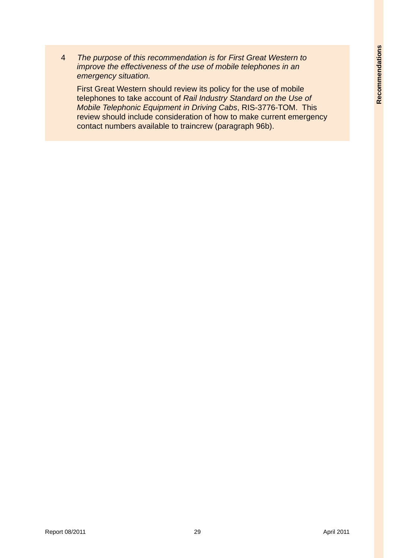4 *The purpose of this recommendation is for First Great Western to improve the effectiveness of the use of mobile telephones in an emergency situation.*

First Great Western should review its policy for the use of mobile telephones to take account of *Rail Industry Standard on the Use of Mobile Telephonic Equipment in Driving Cabs*, RIS-3776-TOM. This review should include consideration of how to make current emergency contact numbers available to traincrew (paragraph 96b).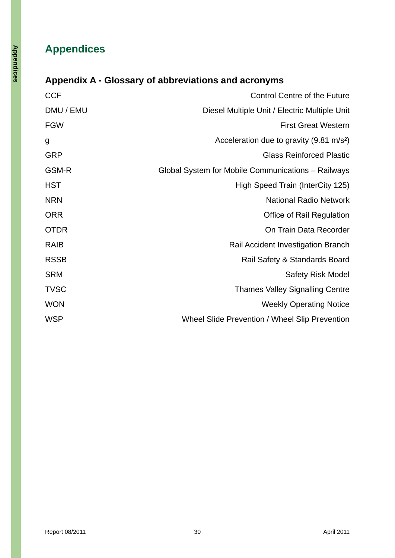# **Appendices**

# **Appendix A - Glossary of abbreviations and acronyms**

| <b>CCF</b>  | <b>Control Centre of the Future</b>                  |
|-------------|------------------------------------------------------|
| DMU / EMU   | Diesel Multiple Unit / Electric Multiple Unit        |
| <b>FGW</b>  | <b>First Great Western</b>                           |
| g           | Acceleration due to gravity (9.81 m/s <sup>2</sup> ) |
| GRP         | <b>Glass Reinforced Plastic</b>                      |
| GSM-R       | Global System for Mobile Communications - Railways   |
| HST         | High Speed Train (InterCity 125)                     |
| <b>NRN</b>  | <b>National Radio Network</b>                        |
| <b>ORR</b>  | <b>Office of Rail Regulation</b>                     |
| OTDR        | On Train Data Recorder                               |
| <b>RAIB</b> | Rail Accident Investigation Branch                   |
| RSSB        | Rail Safety & Standards Board                        |
| SRM         | <b>Safety Risk Model</b>                             |
| <b>TVSC</b> | <b>Thames Valley Signalling Centre</b>               |
| WON         | <b>Weekly Operating Notice</b>                       |
| WSP         | Wheel Slide Prevention / Wheel Slip Prevention       |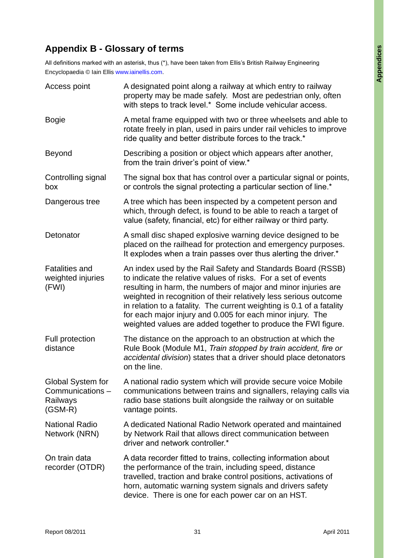# **Appendix B - Glossary of terms**

All definitions marked with an asterisk, thus (\*), have been taken from Ellis's British Railway Engineering Encyclopaedia © Iain Ellis www.iainellis.com.

| Access point                                                  | A designated point along a railway at which entry to railway<br>property may be made safely. Most are pedestrian only, often<br>with steps to track level.* Some include vehicular access.                                                                                                                                                                                                                                                                                 |
|---------------------------------------------------------------|----------------------------------------------------------------------------------------------------------------------------------------------------------------------------------------------------------------------------------------------------------------------------------------------------------------------------------------------------------------------------------------------------------------------------------------------------------------------------|
| <b>Bogie</b>                                                  | A metal frame equipped with two or three wheelsets and able to<br>rotate freely in plan, used in pairs under rail vehicles to improve<br>ride quality and better distribute forces to the track.*                                                                                                                                                                                                                                                                          |
| Beyond                                                        | Describing a position or object which appears after another,<br>from the train driver's point of view.*                                                                                                                                                                                                                                                                                                                                                                    |
| Controlling signal<br>box                                     | The signal box that has control over a particular signal or points,<br>or controls the signal protecting a particular section of line.*                                                                                                                                                                                                                                                                                                                                    |
| Dangerous tree                                                | A tree which has been inspected by a competent person and<br>which, through defect, is found to be able to reach a target of<br>value (safety, financial, etc) for either railway or third party.                                                                                                                                                                                                                                                                          |
| Detonator                                                     | A small disc shaped explosive warning device designed to be<br>placed on the railhead for protection and emergency purposes.<br>It explodes when a train passes over thus alerting the driver.*                                                                                                                                                                                                                                                                            |
| <b>Fatalities and</b><br>weighted injuries<br>(FWI)           | An index used by the Rail Safety and Standards Board (RSSB)<br>to indicate the relative values of risks. For a set of events<br>resulting in harm, the numbers of major and minor injuries are<br>weighted in recognition of their relatively less serious outcome<br>in relation to a fatality. The current weighting is 0.1 of a fatality<br>for each major injury and 0.005 for each minor injury. The<br>weighted values are added together to produce the FWI figure. |
| Full protection<br>distance                                   | The distance on the approach to an obstruction at which the<br>Rule Book (Module M1, Train stopped by train accident, fire or<br>accidental division) states that a driver should place detonators<br>on the line.                                                                                                                                                                                                                                                         |
| Global System for<br>Communications-<br>Railways<br>$(GSM-R)$ | A national radio system which will provide secure voice Mobile<br>communications between trains and signallers, relaying calls via<br>radio base stations built alongside the railway or on suitable<br>vantage points.                                                                                                                                                                                                                                                    |
| <b>National Radio</b><br>Network (NRN)                        | A dedicated National Radio Network operated and maintained<br>by Network Rail that allows direct communication between<br>driver and network controller.*                                                                                                                                                                                                                                                                                                                  |
| On train data<br>recorder (OTDR)                              | A data recorder fitted to trains, collecting information about<br>the performance of the train, including speed, distance<br>travelled, traction and brake control positions, activations of<br>horn, automatic warning system signals and drivers safety<br>device. There is one for each power car on an HST.                                                                                                                                                            |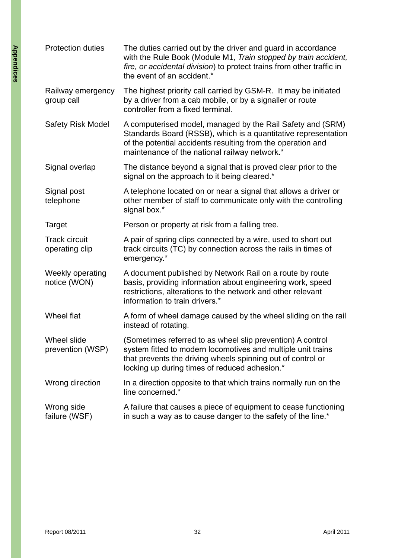| <b>Protection duties</b>               | The duties carried out by the driver and guard in accordance<br>with the Rule Book (Module M1, Train stopped by train accident,<br>fire, or accidental division) to protect trains from other traffic in<br>the event of an accident.*       |
|----------------------------------------|----------------------------------------------------------------------------------------------------------------------------------------------------------------------------------------------------------------------------------------------|
| Railway emergency<br>group call        | The highest priority call carried by GSM-R. It may be initiated<br>by a driver from a cab mobile, or by a signaller or route<br>controller from a fixed terminal.                                                                            |
| <b>Safety Risk Model</b>               | A computerised model, managed by the Rail Safety and (SRM)<br>Standards Board (RSSB), which is a quantitative representation<br>of the potential accidents resulting from the operation and<br>maintenance of the national railway network.* |
| Signal overlap                         | The distance beyond a signal that is proved clear prior to the<br>signal on the approach to it being cleared.*                                                                                                                               |
| Signal post<br>telephone               | A telephone located on or near a signal that allows a driver or<br>other member of staff to communicate only with the controlling<br>signal box.*                                                                                            |
| <b>Target</b>                          | Person or property at risk from a falling tree.                                                                                                                                                                                              |
| <b>Track circuit</b><br>operating clip | A pair of spring clips connected by a wire, used to short out<br>track circuits (TC) by connection across the rails in times of<br>emergency.*                                                                                               |
| Weekly operating<br>notice (WON)       | A document published by Network Rail on a route by route<br>basis, providing information about engineering work, speed<br>restrictions, alterations to the network and other relevant<br>information to train drivers.*                      |
| Wheel flat                             | A form of wheel damage caused by the wheel sliding on the rail<br>instead of rotating.                                                                                                                                                       |
| Wheel slide<br>prevention (WSP)        | (Sometimes referred to as wheel slip prevention) A control<br>system fitted to modern locomotives and multiple unit trains<br>that prevents the driving wheels spinning out of control or<br>locking up during times of reduced adhesion.*   |
| Wrong direction                        | In a direction opposite to that which trains normally run on the<br>line concerned.*                                                                                                                                                         |
| Wrong side<br>failure (WSF)            | A failure that causes a piece of equipment to cease functioning<br>in such a way as to cause danger to the safety of the line.*                                                                                                              |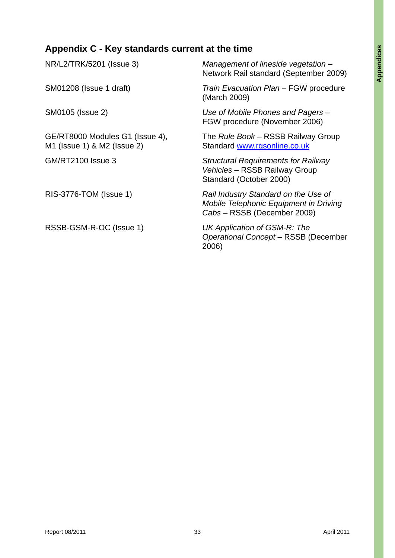# **Appendix C - Key standards current at the time**

| NR/L2/TRK/5201 (Issue 3)                                       | Management of lineside vegetation-<br>Network Rail standard (September 2009)                                  |
|----------------------------------------------------------------|---------------------------------------------------------------------------------------------------------------|
| SM01208 (Issue 1 draft)                                        | Train Evacuation Plan - FGW procedure<br>(March 2009)                                                         |
| SM0105 (Issue 2)                                               | Use of Mobile Phones and Pagers –<br>FGW procedure (November 2006)                                            |
| GE/RT8000 Modules G1 (Issue 4),<br>M1 (Issue 1) & M2 (Issue 2) | The Rule Book – RSSB Railway Group<br>Standard www.rgsonline.co.uk                                            |
| <b>GM/RT2100 Issue 3</b>                                       | <b>Structural Requirements for Railway</b><br>Vehicles - RSSB Railway Group<br>Standard (October 2000)        |
| RIS-3776-TOM (Issue 1)                                         | Rail Industry Standard on the Use of<br>Mobile Telephonic Equipment in Driving<br>Cabs - RSSB (December 2009) |
| RSSB-GSM-R-OC (Issue 1)                                        | UK Application of GSM-R: The<br>Operational Concept - RSSB (December<br>2006)                                 |
|                                                                |                                                                                                               |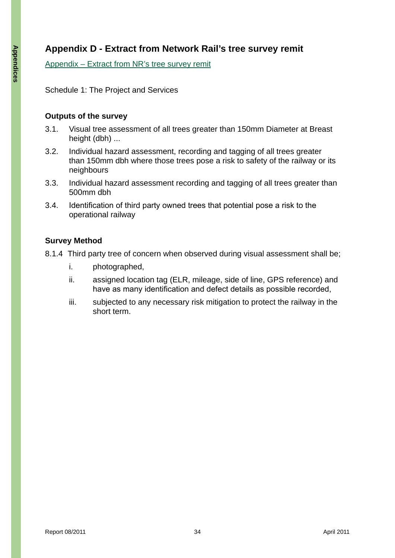# **Appendix D - Extract from Network Rail's tree survey remit**

Appendix – Extract from NR's tree survey remit

Schedule 1: The Project and Services

#### **Outputs of the survey**

- 3.1. Visual tree assessment of all trees greater than 150mm Diameter at Breast height (dbh) ...
- 3.2. Individual hazard assessment, recording and tagging of all trees greater than 150mm dbh where those trees pose a risk to safety of the railway or its neighbours
- 3.3. Individual hazard assessment recording and tagging of all trees greater than 500mm dbh
- 3.4. Identification of third party owned trees that potential pose a risk to the operational railway

### **Survey Method**

- 8.1.4 Third party tree of concern when observed during visual assessment shall be;
	- i. photographed,
	- ii. assigned location tag (ELR, mileage, side of line, GPS reference) and have as many identification and defect details as possible recorded,
	- iii. subjected to any necessary risk mitigation to protect the railway in the short term.